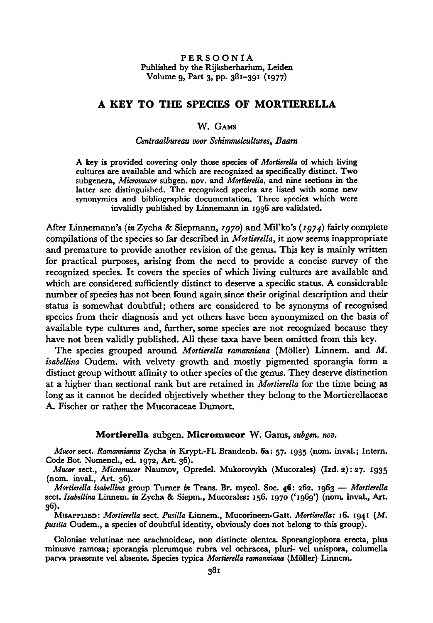# <sup>A</sup> key to the species of Mortierella

## W. Gams

## Centraalbureau voor Schimmelcultures, Baarn

A key is provided covering only those species of Mortierella of which living cultures are available and which are recognized as specifically distinct. Two subgenera, Micromucor subgen. nov. and Mortierella, and nine sections in the latter are distinguished. The recognized species are listed with some new synonymies and bibliographic documentation. Three species which were invalidly published by Linnemann in 1936 are validated.

After Linnemann's (in Zycha & Siepmann, 1970) and Mil'ko's (1974) fairly complete compilations of the species so far described in Mortierella, it now seems inappropriate and premature to provide another revision of the genus. This key is mainly written for practical purposes, arising from the need to provide <sup>a</sup> concise survey of the recognized species. It covers the species of which living cultures are available and which are considered sufficiently distinct to deserve a specific status. A considerable number of species has not been found again since their original description and their status is somewhat doubtful; others are considered to be synonyms of recognised species from their diagnosis and yet others have been synonymized on the basis of available type cultures and, further, some species are not recognized because they have not been validly published. All these taxa have been omitted from this key.

The species grouped around Mortierella ramanniana (Möller) Linnem. and M. isabellina Oudem. with velvety growth and mostly pigmented sporangia form a distinct group without affinity to other species of the genus. They deserve distinction at a higher than sectional rank but are retained in *Mortierella* for the time being as long as it cannot be decided objectively whether they belong to the Mortierellaceae A. Fischer or rather the Mucoraceae Dumort.

### Mortierella subgen. Micromucor W. Gams, subgen. nov.

Mucor sect. Ramannianus Zycha in Krypt.-Fl. Brandenb. 6a: 57. <sup>1935</sup> (nom. inval.; Intern. Code Bot. Nomencl., ed. 1972, Art. 36).

Mucor sect., Micromucor Naumov, Opredel. Mukorovykh (Mucorales) (Izd. 2): 27. 1935 (nom. inval., Art. 36).

Mortierella isabellina group Turner in Trans. Br. mycol. Soc. 46: 262. 1963 — Mortierella sect. Isabellina Linnem. in Zycha & Siepm., Mucorales: 156. <sup>1970</sup> ('1969') (nom. inval., Art. 36).

MISAPPLIED: Mortierella sect. Pusilla Linnem., Mucorineen-Gatt. Mortierella: 16. 1941 (M. pusilla Oudem., a species of doubtful identity, obviously does not belong to this group).

Coloniae velutinae nec arachnoideae, non distincte olentes. Sporangiophora erecta, plus minusve ramosa; sporangia plerumque rubra vel ochracea, pluri- vel unispora, columella parva praesente vel absente. Species typica Mortierella ramanniana (Möller) Linnem.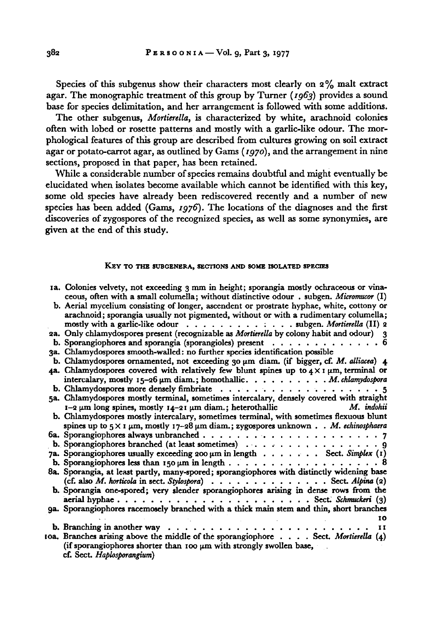Species of this subgenus show their characters most clearly on 2% malt extract agar. The monographic treatment of this group by Turner ( $1963$ ) provides a sound base for species delimitation, and her arrangement is followedwith some additions.

The other subgenus, *Mortierella*, is characterized by white, arachnoid colonies often with lobed or rosette patterns and mostly with a garlic-like odour. The morphological features of this group are described from cultures growing on soil extract agar or potato-carrot agar, as outlined by Gams (1970), and the arrangement in nine sections, proposed in that paper, has been retained.

While a considerable number of species remains doubtful and might eventually be elucidated when isolates become available which cannot be identified with this key, some old species have already been rediscovered recently and a number of new species has been added (Gams, 1976). The locations of the diagnoses and the first discoveries of zygospores of the recognized species, as well as some synonymies, are given at the end of this study.

#### KEY TO THE SUBGENERA, SECTIONS AND SOME ISOLATED SPECIES

| 1a. Colonies velvety, not exceeding 3 mm in height; sporangia mostly ochraceous or vina-<br>ceous, often with a small columella; without distinctive odour. subgen. Micromucor (I)                                                              |
|-------------------------------------------------------------------------------------------------------------------------------------------------------------------------------------------------------------------------------------------------|
| b. Aerial mycelium consisting of longer, ascendent or prostrate hyphae, white, cottony or<br>arachnoid; sporangia usually not pigmented, without or with a rudimentary columella;<br>mostly with a garlic-like odour subgen. Mortierella (II) 2 |
| 2a. Only chlamydospores present (recognizable as <i>Mortierella</i> by colony habit and odour) 3                                                                                                                                                |
| b. Sporangiophores and sporangia (sporangioles) present $\ldots \ldots \ldots \ldots$                                                                                                                                                           |
| 3a. Chlamydospores smooth-walled: no further species identification possible                                                                                                                                                                    |
| b. Chlamydospores ornamented, not exceeding 30 $\mu$ m diam. (if bigger, cf. M. alliacea) 4                                                                                                                                                     |
|                                                                                                                                                                                                                                                 |
| 4a. Chlamydospores covered with relatively few blunt spines up to $4 \times 1$ µm, terminal or                                                                                                                                                  |
| intercalary, mostly $15-26 \mu m$ diam.; homothallic. M. chlamydospora                                                                                                                                                                          |
|                                                                                                                                                                                                                                                 |
| 5a. Chlamydospores mostly terminal, sometimes intercalary, densely covered with straight<br>M. indohii<br>$1-2 \mu m$ long spines, mostly $14-21 \mu m$ diam.; heterothallic                                                                    |
| b. Chlamydospores mostly intercalary, sometimes terminal, with sometimes flexuous blunt<br>spines up to $5 \times 1$ µm, mostly $17-28$ µm diam.; zygospores unknown M. echinosphaera                                                           |
|                                                                                                                                                                                                                                                 |
|                                                                                                                                                                                                                                                 |
| b. Sporangiophores branched (at least sometimes) 9                                                                                                                                                                                              |
| 7a. Sporangiophores usually exceeding 200 µm in length Sect. Simplex (1)                                                                                                                                                                        |
| b. Sporangiophores less than 150 $\mu$ m in length 8                                                                                                                                                                                            |
| 8a. Sporangia, at least partly, many-spored; sporangiophores with distinctly widening base                                                                                                                                                      |
| (cf. also M. horticola in sect. Stylospora) Sect. Alpina (2)                                                                                                                                                                                    |
| b. Sporangia one-spored; very slender sporangiophores arising in dense rows from the                                                                                                                                                            |
| 9a. Sporangiophores racemosely branched with a thick main stem and thin, short branches                                                                                                                                                         |
| 10                                                                                                                                                                                                                                              |
| 11                                                                                                                                                                                                                                              |
| oa. Branches arising above the middle of the sporangiophore $\dots$ . Sect. Mortierella $(4)$<br>(if sporangiophores shorter than 100 $\mu$ m with strongly swollen base,<br>cf. Sect. Haplosporangium)                                         |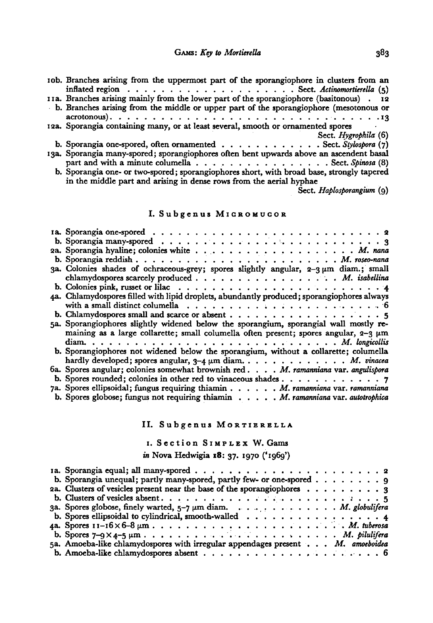| rob. Branches arising from the uppermost part of the sporangiophore in clusters from an<br>inflated region $\ldots$ , Sect. Actinomortierella $(5)$                                                                                                                                                                                                                                                                                                                                                                                             |
|-------------------------------------------------------------------------------------------------------------------------------------------------------------------------------------------------------------------------------------------------------------------------------------------------------------------------------------------------------------------------------------------------------------------------------------------------------------------------------------------------------------------------------------------------|
| 11a. Branches arising mainly from the lower part of the sporangiophore (basitonous). 12                                                                                                                                                                                                                                                                                                                                                                                                                                                         |
| b. Branches arising from the middle or upper part of the sporangiophore (mesotonous or                                                                                                                                                                                                                                                                                                                                                                                                                                                          |
|                                                                                                                                                                                                                                                                                                                                                                                                                                                                                                                                                 |
| 12a. Sporangia containing many, or at least several, smooth or ornamented spores<br>$\mathcal{L}(\mathcal{L}(\mathcal{L}(\mathcal{L}(\mathcal{L}(\mathcal{L}(\mathcal{L}(\mathcal{L}(\mathcal{L}(\mathcal{L}(\mathcal{L}(\mathcal{L}(\mathcal{L}(\mathcal{L}(\mathcal{L}(\mathcal{L}(\mathcal{L}(\mathcal{L}(\mathcal{L}(\mathcal{L}(\mathcal{L}(\mathcal{L}(\mathcal{L}(\mathcal{L}(\mathcal{L}(\mathcal{L}(\mathcal{L}(\mathcal{L}(\mathcal{L}(\mathcal{L}(\mathcal{L}(\mathcal{L}(\mathcal{L}(\mathcal{L}(\mathcal{L}(\mathcal{L}(\mathcal{$ |
| Sect. Hygrophila (6)                                                                                                                                                                                                                                                                                                                                                                                                                                                                                                                            |
| b. Sporangia one-spored, often ornamented Sect. Stylospora (7)                                                                                                                                                                                                                                                                                                                                                                                                                                                                                  |
| 13a. Sporangia many-spored; sporangiophores often bent upwards above an ascendent basal                                                                                                                                                                                                                                                                                                                                                                                                                                                         |
| part and with a minute columella Sect. Spinosa (8)                                                                                                                                                                                                                                                                                                                                                                                                                                                                                              |
| b. Sporangia one- or two-spored; sporangiophores short, with broad base, strongly tapered<br>in the middle part and arising in dense rows from the aerial hyphae                                                                                                                                                                                                                                                                                                                                                                                |
|                                                                                                                                                                                                                                                                                                                                                                                                                                                                                                                                                 |

Sect. Haplosporangium (9)

# I. Subgenus MICROMUCOR

| b. Sporangia many-spored $\ldots \ldots \ldots \ldots \ldots \ldots \ldots \ldots \ldots \ldots$   |
|----------------------------------------------------------------------------------------------------|
|                                                                                                    |
|                                                                                                    |
| 3a. Colonies shades of ochraceous-grey; spores slightly angular, $2-3 \mu m$ diam.; small          |
| chlamydospores scarcely produced M. isabellina                                                     |
| b. Colonies pink, russet or lilac $\ldots \ldots \ldots \ldots \ldots \ldots \ldots \ldots \ldots$ |
| 4a. Chlamydospores filled with lipid droplets, abundantly produced; sporangiophores always         |
|                                                                                                    |
|                                                                                                    |
| 5a. Sporangiophores slightly widened below the sporangium, sporangial wall mostly re-              |
| maining as a large collarette; small columella often present; spores angular, 2-3 µm               |
|                                                                                                    |
| b. Sporangiophores not widened below the sporangium, without a collarette; columella               |
| hardly developed; spores angular, 3-4 $\mu$ m diam. M. vinacea                                     |
| 6a. Spores angular; colonies somewhat brownish red. M. ramanniana var. angulispora                 |
| b. Spores rounded; colonies in other red to vinaceous shades 7                                     |
| 7a. Spores ellipsoidal; fungus requiring thiamin M. ramanniana var. ramanniana                     |
| b. Spores globose; fungus not requiring thiamin M. ramanniana var. autotrophica                    |

## II. Subgenus MORTIERELLA

# 1. Section SIMPLEX W. Gams

# in Nova Hedwigia 18: 37. 1970 ('1969')

| b. Sporangia unequal; partly many-spored, partly few- or one-spored $\dots \dots$ 9       |  |  |  |
|-------------------------------------------------------------------------------------------|--|--|--|
| 2a. Clusters of vesicles present near the base of the sporangiophores $\dots \dots \dots$ |  |  |  |
|                                                                                           |  |  |  |
| 3a. Spores globose, finely warted, 5-7 µm diam. M. globulifera                            |  |  |  |
| b. Spores ellipsoidal to cylindrical, smooth-walled $\ldots \ldots \ldots \ldots \ldots$  |  |  |  |
|                                                                                           |  |  |  |
|                                                                                           |  |  |  |
| 5a. Amoeba-like chlamydospores with irregular appendages present M. amoeboidea            |  |  |  |
|                                                                                           |  |  |  |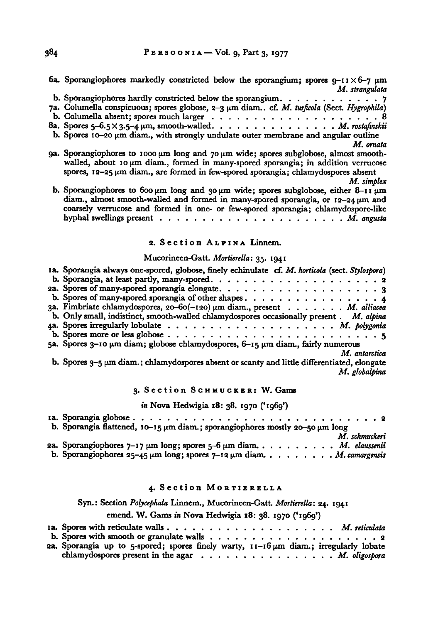6a. Sporangiophores markedly constricted below the sporangium; spores  $g$ -11 $\times$ 6-7  $\mu$ m M. strangulata

| b. Sporangiophores hardly constricted below the sporangium. $\ldots$ 7                     |  |
|--------------------------------------------------------------------------------------------|--|
| 7a. Columella conspicuous; spores globose, 2-3 µm diam cf. M. turficola (Sect. Hygrophila) |  |
|                                                                                            |  |
| 8a. Spores 5-6.5 × 3.5-4 $\mu$ m, smooth-walled. M. rostafinskii                           |  |

b. Spores  $10-20 \mu m$  diam., with strongly undulate outer membrane and angular outline

M. ornata

- 9a. Sporangiophores to 1000  $\mu$ m long and 70  $\mu$ m wide; spores subglobose, almost smoothwalled, about 10  $\mu$ m diam., formed in many-spored sporangia; in addition verrucose spores,  $12-25 \mu m$  diam., are formed in few-spored sporangia; chlamydospores absent
- M. simplex b. Sporangiophores to 600  $\mu$ m long and 30  $\mu$ m wide; spores subglobose, either 8-11  $\mu$ m diam., almost smooth-walled and formed in many-spored sporangia, or  $12-24 \mu m$  and coarsely verrucose and formed in one- or few-spored sporangia; chlamydospore-like hyphal swellings present M. angusta

#### 2. Section ALPINA Linnem.

#### Mucorineen-Gatt. Mortierella: 35. 1941

| 1a. Sporangia always one-spored, globose, finely echinulate cf. M. horticola (sect. Stylospora) |
|-------------------------------------------------------------------------------------------------|
|                                                                                                 |
|                                                                                                 |
|                                                                                                 |
| 3a. Fimbriate chlamydospores, 20-60(-120) µm diam., present M. alliacea                         |
| b. Only small, indistinct, smooth-walled chlamydospores occasionally present . M. alpina        |
|                                                                                                 |
|                                                                                                 |
| 5a. Spores 3-10 $\mu$ m diam; globose chlamydospores, 6-15 $\mu$ m diam., fairly numerous       |
| M. antarctica                                                                                   |
| b. Spores 3-5 µm diam.; chlamydospores absent or scanty and little differentiated, elongate     |
| M. globalpina                                                                                   |
|                                                                                                 |

3. Section SCHMUCKERI W. Gams

in Nova Hedwigia 18: 38. 1970 ('1969')

| b. Sporangia flattened, $10-15 \mu m$ diam.; sporangiophores mostly 20-50 $\mu m$ long |
|----------------------------------------------------------------------------------------|
| M. schmuckeri                                                                          |
| 2a. Sporangiophores $7-17 \mu m$ long; spores $5-6 \mu m$ diam. M. claussenii          |
| b. Sporangiophores $25-45 \mu m$ long; spores $7-12 \mu m$ diam. M. camargensis        |

### 4. Section MORTIERELLA

Syn.: Section Polycephala Linnem., Mucorineen-Gatt. Mortierella: 24. 1941

emend. W. Gams in Nova Hedwigia 18: 38. <sup>1970</sup> ('1969')

| 2a. Sporangia up to 5-spored; spores finely warty, $11 - 16 \mu m$ diam.; irregularly lobate |  |
|----------------------------------------------------------------------------------------------|--|
| chlamydospores present in the agar M. oligospora                                             |  |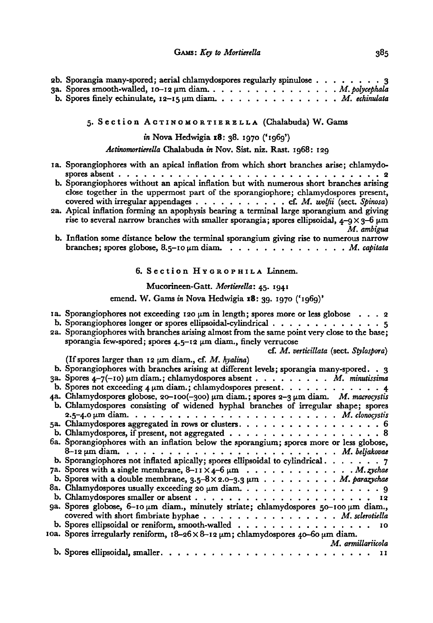| 2b. Sporangia many-spored; aerial chlamydospores regularly spinulose 3 |  |  |  |  |  |  |  |  |
|------------------------------------------------------------------------|--|--|--|--|--|--|--|--|
|                                                                        |  |  |  |  |  |  |  |  |
| b. Spores finely echinulate, $12-15 \mu m$ diam. M. echinulata         |  |  |  |  |  |  |  |  |

# 5. Section ACTINOMORTIERELLA (Chalabuda) W. Gams

in Nova Hedwigia 18: 38. 1970 ('1969')

ActinomortierellaChalabuda in Nov. Sist. niz. Rast. 1968: <sup>129</sup>

| 1a. Sporangiophores with an apical inflation from which short branches arise; chlamydo-                                                                                                                      |
|--------------------------------------------------------------------------------------------------------------------------------------------------------------------------------------------------------------|
| b. Sporangiophores without an apical inflation but with numerous short branches arising                                                                                                                      |
| close together in the uppermost part of the sporangiophore; chlamydospores present,                                                                                                                          |
| 2a. Apical inflation forming an apophysis bearing a terminal large sporangium and giving<br>rise to several narrow branches with smaller sporangia; spores ellipsoidal, $4-9 \times 3-6 \mu m$<br>M. ambigua |
| b. Inflation some distance below the terminal sporangium giving rise to numerous narrow                                                                                                                      |
| branches; spores globose, 8.5-10 µm diam. M. capitata                                                                                                                                                        |
| 6. Section Hygrophila Linnem.                                                                                                                                                                                |
| Mucorineen-Gatt. Mortierella: 45. 1941                                                                                                                                                                       |
| emend. W. Gams in Nova Hedwigia 18: 39. 1970 ('1969)'                                                                                                                                                        |
| 1a. Sporangiophores not exceeding 120 $\mu$ m in length; spores more or less globose 2                                                                                                                       |
| b. Sporangiophores longer or spores ellipsoidal-cylindrical 5                                                                                                                                                |
| 2a. Sporangiophores with branches arising almost from the same point very close to the base;                                                                                                                 |
| sporangia few-spored; spores $4.5-12 \mu m$ diam., finely verrucose                                                                                                                                          |
| cf. M. verticillata (sect. Stylospora)<br>(If spores larger than 12 $\mu$ m diam., cf. M. hyalina)                                                                                                           |
| b. Sporangiophores with branches arising at different levels; sporangia many-spored. . 3                                                                                                                     |
| 3a. Spores 4-7(-10) um diam.; chlamydospores absent M. minutissima                                                                                                                                           |
| b. Spores not exceeding $4 \mu m$ diam.; chlamydospores present. 4                                                                                                                                           |
| 4a. Chlamydospores globose, 20-100(-300) um diam.; spores 2-3 um diam. M. macrocystis                                                                                                                        |
| b. Chlamydospores consisting of widened hyphal branches of irregular shape; spores                                                                                                                           |
|                                                                                                                                                                                                              |
| 5a. Chlamydospores aggregated in rows or clusters. 6                                                                                                                                                         |
|                                                                                                                                                                                                              |
| 6a. Sporangiophores with an inflation below the sporangium; spores more or less globose,                                                                                                                     |
| b. Sporangiophores not inflated apically; spores ellipsoidal to cylindrical $\dots \dots$                                                                                                                    |
|                                                                                                                                                                                                              |
| b. Spores with a double membrane, $3.5-8 \times 2.0-3.3 \mu m$ M. parazychae                                                                                                                                 |
| 8a. Chlamydospores usually exceeding 20 $\mu$ m diam. 9                                                                                                                                                      |
|                                                                                                                                                                                                              |
| 9a. Spores globose, 6-10 µm diam., minutely striate; chlamydospores 50-100 µm diam.,                                                                                                                         |
| covered with short fimbriate hyphae M. sclerotiella                                                                                                                                                          |
| b. Spores ellipsoidal or reniform, smooth-walled 10                                                                                                                                                          |
| 10a. Spores irregularly reniform, $18-26 \times 8-12 \mu m$ ; chlamydospores 40-60 $\mu$ m diam.<br>M. armillariicola                                                                                        |
|                                                                                                                                                                                                              |
|                                                                                                                                                                                                              |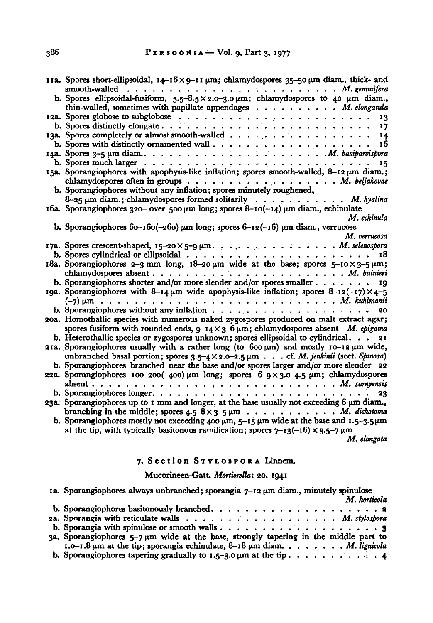| 11a. Spores short-ellipsoidal, 14-16×9-11 μm; chlamydospores 35-50 μm diam., thick- and                                                                                                                                                                                                                                               |
|---------------------------------------------------------------------------------------------------------------------------------------------------------------------------------------------------------------------------------------------------------------------------------------------------------------------------------------|
| b. Spores ellipsoidal-fusiform, $5.5-8.5 \times 2.0-3.0 \mu m$ ; chlamydospores to 40 $\mu$ m diam.,<br>thin-walled, sometimes with papillate appendages $\ldots$ , M. elongatula                                                                                                                                                     |
|                                                                                                                                                                                                                                                                                                                                       |
|                                                                                                                                                                                                                                                                                                                                       |
| 13a. Spores completely or almost smooth-walled 14                                                                                                                                                                                                                                                                                     |
|                                                                                                                                                                                                                                                                                                                                       |
| b. Spores with distinctly ornamented wall $\ldots$ , $\ldots$ , $\ldots$ , $\ldots$ , $\ldots$ , $\ldots$ , $\ldots$ , $\ldots$ , $\ldots$ , $\ldots$ , $\ldots$ , $\ldots$ , $\ldots$ , $\ldots$ , $\ldots$ , $\ldots$ , $\ldots$ , $\ldots$ , $\ldots$ , $\ldots$ , $\ldots$ , $\ldots$ , $\ldots$ , $\ldots$ , $\ldots$ , $\ldots$ |
|                                                                                                                                                                                                                                                                                                                                       |
| 15a. Sporangiophores with apophysis-like inflation; spores smooth-walled, 8-12 um diam.;                                                                                                                                                                                                                                              |
|                                                                                                                                                                                                                                                                                                                                       |
|                                                                                                                                                                                                                                                                                                                                       |
| b. Sporangiophores without any inflation; spores minutely roughened,                                                                                                                                                                                                                                                                  |
| $8-25$ µm diam.; chlamydospores formed solitarily M. hyalina                                                                                                                                                                                                                                                                          |
| 16a. Sporangiophores 320- over 500 $\mu$ m long; spores 8-10(-14) $\mu$ m diam., echinulate                                                                                                                                                                                                                                           |
| M. echinula                                                                                                                                                                                                                                                                                                                           |
| b. Sporangiophores $60-160(-260)$ µm long; spores $6-12(-16)$ µm diam., verrucose                                                                                                                                                                                                                                                     |
| M. verrucosa                                                                                                                                                                                                                                                                                                                          |
| 17a. Spores crescent-shaped, 15-20×5-9 µm. M. selenospora                                                                                                                                                                                                                                                                             |
|                                                                                                                                                                                                                                                                                                                                       |
| 18a. Sporangiophores 2-3 mm long, $18-20 \mu m$ wide at the base; spores $5-10 \times 3-5 \mu m$ ;                                                                                                                                                                                                                                    |
| b. Sporangiophores shorter and/or more slender and/or spores smaller 19                                                                                                                                                                                                                                                               |
| 19a. Sporangiophores with 8-14 $\mu$ m wide apophysis-like inflation; spores 8-12(-17) × 4-5                                                                                                                                                                                                                                          |
| $(-7)$ $\mu$ m $\ldots$ $\ldots$ $\ldots$ $\ldots$ $\ldots$ $\ldots$ $\ldots$ $\ldots$ $\ldots$ $\ldots$ $M$ . kuhlmanii                                                                                                                                                                                                              |
|                                                                                                                                                                                                                                                                                                                                       |
| 20a. Homothallic species with numerous naked zygospores produced on malt extract agar;                                                                                                                                                                                                                                                |
| spores fusiform with rounded ends, $9-14 \times 3-6 \mu m$ ; chlamydospores absent M. epigama                                                                                                                                                                                                                                         |
| b. Heterothallic species or zygospores unknown; spores ellipsoidal to cylindrical. $\therefore$ 21                                                                                                                                                                                                                                    |
| 21a. Sporangiophores usually with a rather long (to 600 µm) and mostly 10-12 µm wide,                                                                                                                                                                                                                                                 |
| unbranched basal portion; spores $3.5-4 \times 2.0-2.5 \mu m$ cf. M. jenkinii (sect. Spinosa)                                                                                                                                                                                                                                         |
| b. Sporangiophores branched near the base and/or spores larger and/or more slender 22                                                                                                                                                                                                                                                 |
| 22a. Sporangiophores $100-200(-400)$ µm long; spores $6-9 \times 3.0-4.5$ µm; chlamydospores                                                                                                                                                                                                                                          |
|                                                                                                                                                                                                                                                                                                                                       |
| 23                                                                                                                                                                                                                                                                                                                                    |
| 23a. Sporangiophores up to 1 mm and longer, at the base usually not exceeding $6 \mu m$ diam.                                                                                                                                                                                                                                         |
| branching in the middle; spores $4.5 - 8 \times 3 - 5 \mu m$ M. dichotoma                                                                                                                                                                                                                                                             |
|                                                                                                                                                                                                                                                                                                                                       |
| b. Sporangiophores mostly not exceeding 400 $\mu$ m, 5-15 $\mu$ m wide at the base and 1.5-3.5 $\mu$ m                                                                                                                                                                                                                                |
| at the tip, with typically basitonous ramification; spores $7-13(-16) \times 3.5-7 \mu m$                                                                                                                                                                                                                                             |
| M. elongata                                                                                                                                                                                                                                                                                                                           |

### 7. Section STYLOSPORA Linnem.

#### Mucorineen-Gatt. Mortierella: 20. <sup>1941</sup>

1a. Sporangiophores always unbranched; sporangia  $7-12 \mu m$  diam., minutely spinulose M. horticola b. Sporangiophores basitonously branched . . <sup>2</sup> 2a. Sporangia with reticulate walls  $\ldots$ ...................... M. stylospora b. Sporangia with spinulose or smooth walls  $\ldots$ ,  $\ldots$ ,  $\ldots$ ,  $\ldots$ ,  $\ldots$ ,  $\frac{3}{4}$ 3a. Sporangiophores 5-7 pm wide at the base, strongly tapering in the middle part to  $1.0-1.8 \mu m$  at the tip; sporangia echinulate,  $8-18 \mu m$  diam.  $\ldots \ldots \ldots$  M. lignicola b. Sporangiophores tapering gradually to  $1.5-3.0 \mu m$  at the tip  $\ldots \ldots \ldots \ldots$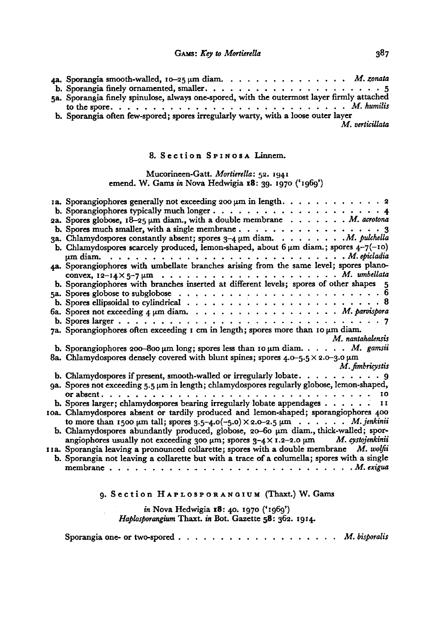| 4a. Sporangia smooth-walled, $10-25 \mu m$ diam. M. zonata                                  |
|---------------------------------------------------------------------------------------------|
|                                                                                             |
| 5a. Sporangia finely spinulose, always one-spored, with the outermost layer firmly attached |
|                                                                                             |
| b. Sporangia often few-spored; spores irregularly warty, with a loose outer layer           |
| M. verticillata                                                                             |

### 8. Section SPINOSA Linnem.

### Mucorineen-Gatt. Mortierella: 52. <sup>1941</sup> emend. W. Gams in Nova Hedwigia 18: 39. <sup>1970</sup> ('1969')

| 1a. Sporangiophores generally not exceeding 200 $\mu$ m in length. 2                                                  |
|-----------------------------------------------------------------------------------------------------------------------|
|                                                                                                                       |
| 2a. Spores globose, $18-25 \mu m$ diam., with a double membrane M. acrotona                                           |
|                                                                                                                       |
| 3a. Chlamydospores constantly absent; spores $3-4 \mu m$ diam. M. pulchella                                           |
|                                                                                                                       |
| b. Chlamydospores scarcely produced, lemon-shaped, about $6 \mu m$ diam.; spores $4-7(-10)$                           |
| $\mu$ m diam.<br>4a. Sporangiophores with umbellate branches arising from the same level; spores plano-               |
|                                                                                                                       |
|                                                                                                                       |
| b. Sporangiophores with branches inserted at different levels; spores of other shapes 5                               |
| 5a. Spores globose to subglobose $\dots \dots \dots \dots \dots \dots \dots \dots \dots \dots \dots$                  |
| b. Spores ellipsoidal to cylindrical $\ldots \ldots \ldots \ldots \ldots \ldots \ldots \ldots \ldots \ldots \ldots 8$ |
|                                                                                                                       |
|                                                                                                                       |
| 7a. Sporangiophores often exceeding $r$ cm in length; spores more than $r \circ \mu m$ diam.                          |
| M. nantahalensis                                                                                                      |
|                                                                                                                       |
| b. Sporangiophores 200-800 $\mu$ m long; spores less than 10 $\mu$ m diam. M. gamsii                                  |
| 8a. Chlamydospores densely covered with blunt spines; spores $4.0 - 5.5 \times 2.0 - 3.0 \mu m$<br>M. fimbricystis    |
| b. Chlamydospores if present, smooth-walled or irregularly lobate. $\dots \dots \dots$                                |
| 9a. Spores not exceeding 5.5 µm in length; chlamydospores regularly globose, lemon-shaped,                            |
|                                                                                                                       |
| b. Spores larger; chlamydospores bearing irregularly lobate appendages II                                             |
| oa. Chlamydospores absent or tardily produced and lemon-shaped; sporangiophores 400                                   |
| to more than 1500 $\mu$ m tall; spores 3.5-4.0(-5.0) $\times$ 2.0-2.5 $\mu$ m. <i>M. jenkinii</i>                     |
| b. Chlamydospores abundantly produced, globose, 20-60 µm diam., thick-walled; spor-                                   |
| angiophores usually not exceeding 300 $\mu$ m; spores 3-4 × 1.2-2.0 $\mu$ m M. cystojenkinii                          |
| IIa. Sporangia leaving a pronounced collarette; spores with a double membrane M. wolfin                               |
| b. Sporangia not leaving a collarette but with a trace of a columella; spores with a single                           |
|                                                                                                                       |
|                                                                                                                       |
|                                                                                                                       |

# 9. Section HAPLOSPORANGIUM (Thaxt.) W. Gams

### in Nova Hedwigia 18: 40. 1970 ('1969') Haplosporangium Thaxt. in Bot. Gazette 58: 362. 1914.

Sporangia one- or two-spored M. bisporalis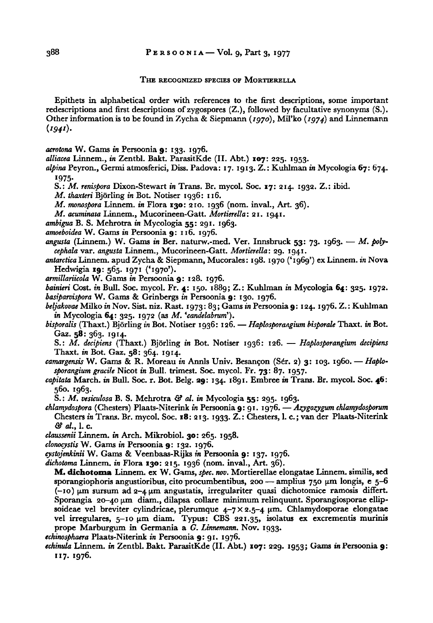#### THE RECOGNIZED SPECIES OF MORTIERELLA

Epithets in alphabetical order with references to the first descriptions, some important redescriptions and first descriptions of zygospores  $(Z<sub>1</sub>)$ , followed by facultative synonyms  $(S<sub>1</sub>)$ . Other information is to be found in Zycha & Siepmann ( $1970$ ), Mil'ko ( $1974$ ) and Linnemann  $(1941).$ 

acrotona W. Gams in Persoonia 9: 133. 1976.

alliacea Linnem., in Zentbl. Bakt. ParasitKde (II. Abt.) 107: 225. 1953.

alpina Peyron., Germi atmosferici, Diss. Padova: 17. 1913. Z.: Kuhlman in Mycologia 67: 674. 1975-

S.: M. renispora Dixon-Stewart in Trans. Br. mycol. Soc. 17: 214. 1932. Z.: ibid.

M. thaxteri Bjorling in Bot. Notiser 1936: 116.

M. monospora Linnem. in Flora 130: 210. 1936 (nom. inval., Art. 36).

M. acuminata Linnem., Mucorineen-Gatt. Mortierella: 21. 1941.

ambigua B. S. Mehrotra in Mycologia 55: 291. 1963.

amoeboidea W. Gams in Persoonia 9: 116. 1976.

angusta (Linnem.) W. Gams in Ber. naturw.-med. Ver. Innsbruck 53: 73. 1963. - M. polycephala var. angusta Linnem., Mucorineen-Gatt. Mortierella: 29. 1941.

antarctica Linnem. apud Zycha & Siepmann, Mucorales: 198. 1970 ('1969') ex Linnem. in Nova Hedwigia 19: 565. 1971 ('1970').

armillariicolaW. Gams in Persoonia 9: 128. 1976.

bainieri Cost. in Bull. Soc. mycol. Fr. 4: 150. 1889; Z.: Kuhlman in Mycologia 64: 325. 1972. basiparvispora W. Gams & Grinbergs in Persoonia 9: 130. 1976.

beljakovae Milko in Nov. Sist. niz. Rast. 1973: 83; Gams in Persoonia 9: 124. 1976. Z.: Kuhlman in Mycologia  $64: 325. 1972$  (as M. 'candelabrum').

bisporalis (Thaxt.) Björling in Bot. Notiser 1936: 126. — Haplosporangium bisporale Thaxt. in Bot. Gaz. 58: 363. 1914.

S.: M. decipiens (Thaxt.) Björling in Bot. Notiser 1936: 126. — Haplosporangium decipiens Thaxt. in Bot. Gaz. 58: 364. 1914.

camargensis W. Gams & R. Moreau in Annls Univ. Besançon (Sér. 2) 3: 103. 1960. — Haplo sporangium gracile Nicot in Bull, trimest. Soc. mycol. Fr. 73: 87. 1957.

capitata March. in Bull. Soc. r. Bot. Belg. 29: 134. 1891. Embree in Trans. Br. mycol. Soc. 46: 560. 1963.

S.: M. vesiculosa B. S. Mehrotra & al. in Mycologia 55: 295. 1963.

chlamydospora (Chesters) Plaats-Niterink in Persoonia 9: 91. 1976. — Azygozygum chlamydosporum Chesters in Trans. Br. mycol. Soc. 18: 213. 1933. Z.:Chesters, 1. c.; van der Plaats-Niterink & al., 1. c.

- claussenii Linnem. in Arch. Mikrobiol. 30: 265. 1958.
- clonocystis W. Gams in Persoonia 9: 132. 1976.

cystojenkinii W. Gams & Veenbaas-Rijks in Persoonia 9: 137. 1976.

dichotoma Linnem. in Flora 130: 215. 1936 (nom. inval., Art. 36).

M. dichotoma Linnem. exW. Gams, spec. nov.Mortierellae elongatae Linnem. similis, sed sporangiophoris angustioribus, cito procumbentibus, 200 — amplius 750 µm longis, e 5-6  $(-10)$  µm sursum ad 2-4 µm angustatis, irregulariter quasi dichotomice ramosis differt. Sporangia 20-40 µm diam., dilapsa collare minimum relinquunt. Sporangiosporae ellipsoideae vel breviter cylindricae, plerumque  $4-7\times2.5-4$  µm. Chlamydosporae elongatae vel irregulares,  $5-10 \mu m$  diam. Typus: CBS 221.35, isolatus ex excrementis murinis prope Marburgum in Germania a G. Linnemann. Nov. 1933.

echinosphaera Plaats-Niterink in Persoonia 9: 91. 1976.

echinula Linnem. in Zentbl. Bakt. ParasitKde (II. Abt.) 107: 229. 1953; Gams in Persoonia 9: 117. 1976.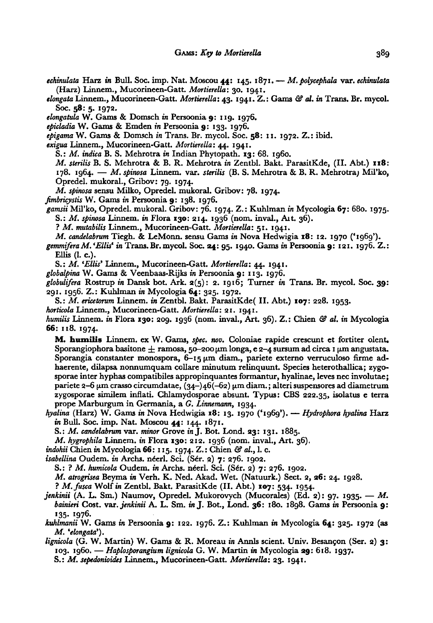echinulata Harz in Bull. Soc. imp. Nat. Moscou 44:  $145. 1871. - M.$  polycephala var. echinulata (Harz) Linnem., Mucorineen-Gatt. Mortierella: 30. 1941.

elongata Linnem., Mucorineen-Gatt. Mortierella: 43. 1941. Z.: Gams & al. in Trans. Br. mycol. Soc. 58: 5. 1972.

elongatula W. Gams & Domsch in Persoonia 9: 119. 1976.

epicladia W. Gams & Emden in Persoonia 9: 133. 1976.

epigama W. Gams & Domsch in Trans. Br. mycol. Soc. 58: 11. 1972. Z.: ibid.

exigua Linnem., Mucorineen-Gatt. Mortierella: 44. 1941.

S.: M. indica B. S. Mehrotra in Indian Phytopath. 13: 68. 1960.

M. sterilis B. S. Mehrotra & B. R. Mehrotra in Zentbl. Bakt. ParasitKde, (II. Abt.) 118: 178. 1964. — M. spinosa Linnem. var. sterilis  $(B, S, M<sub>en</sub>)$  B. R. Mehrotra) Mil'ko, Opredel. mukoral., Gribov: 79. 1974.

M. spinosa sensu Milko, Opredel. mukoral. Gribov: 78. 1974.

fimbricystis W. Gams in Persoonia 9: 138. 1976.

gamsii Mil'ko, Opredel. mukoral. Gribov: 76. 1974. Z.: Kuhlman in Mycologia 67: 680. 1975. S.: M. spinosa Linnem. in Flora 130: 214. <sup>1936</sup> (nom. inval., Ait. 36).

? M. mutabilis Linnem., Mucorineen-Gatt. Mortierella: 51. 1941.

M. candelabrum Tiegh. & LeMonn. sensu Gams in Nova Hedwigia  $18: 12. 1970$  ('1969').

gemmifera M. 'Ellis' in Trans. Br. mycol. Soc. 24: 95. 1940. Gams in Persoonia 9: 121. 1976. Z.: Ellis (1. c.).

S.: M. 'Ellis' Linnem., Mucorineen-Gatt. Mortierella: 44. 1941.

globalpina W. Gams & Veenbaas-Rijks in Persoonia 9: 113. 1976.

globulifera Rostrup in Dansk bot. Ark.  $a(5)$ : 2. 1916; Turner in Trans. Br. mycol. Soc. 39: 291. 1956. Z.: Kuhlman in Mycologia 64: 325. 1972.

S.: M. ericetorum Linnem. in Zentbl. Bakt. ParasitKde( II.Abt.) 107: 228. 1953.

horticola Linnem., Mucorineen-Gatt. Mortierella: 21. 1941.

humilis Linnem. in Flora 130: 209. 1936 (nom. inval., Art. 36). Z.: Chien  $\mathcal G$  al. in Mycologia 66: 118. 1974.

M. humilis Linnem. ex W. Gams, spec. nov. Coloniae rapide crescunt et fortiter oient. Sporangiophora basitone  $\pm$  ramosa, 50-200  $\mu$ m longa, e 2-4 sursum ad circa 1  $\mu$ m angustata. Sporangia constanter monospora,  $6-15 \mu m$  diam., pariete externo verruculoso firme adhaerente, dilapsa nonnumquam collare minutum relinquunt. Species heterothallica; zygosporae inter hyphas compatibiles appropinquantes formantur, hyalinae, leves nec involutae; pariete 2-6  $\mu$ m crasso circumdatae, (34-)46(-62)  $\mu$ m diam.; alteri suspensores ad diametrum zygosporae similem inflati. Chlamydosporae absunt. Typus: CBS 222.35, isolatus <sup>e</sup> terra prope Marburgum in Germania, a G. Linnemann, 1934.

hyalina (Harz) W. Gams in Nova Hedwigia 18: 13. 1970 ('1969'). — Hydrophora hyalina Harz in Bull. Soc. imp. Nat. Moscou 44: 144. 1871.

S.: M. candelabrum var. minor Grove in J. Bot. Lond. 23: 131. 1885.

M. hygrophila Linnem. in Flora 130: 212. 1936 (nom. inval., Art. 36).

indohii Chien in Mycologia 66: 115. 1974. Z.: Chien & al., l. c.

isabellina Oudem. in Archs. néerl. Sci. (Sér. 2)  $7: 276.$  1902.

S.: ? M. humicola Oudem. in Archs. néerl. Sci. (Sér. 2) 7: 276. 1902.

M. atrogrisea Beyma in Verh. K. Ned. Akad. Wet. (Natuurk.) Sect. 2, 26: 24. 1928.

? M. fusca Wolf in Zentbl. Bakt. ParasitKde (II. Abt.) 107: 534. 1954.

jenkinii (A. L. Sm.) Naumov, Opredel. Mukorovych (Mucorales) (Ed. 2): 97. 1935. — M. bainieri Cost. var. jenkinii A. L. Sm. in J. Bot., Lond. 36: 180. 1898. Gams in Persoonia 9: 135- 1976.

kuhlmanii W. Gams in Persoonia 9: 122. 1976. Z.: Kuhlman in Mycologia 64: 325. <sup>1972</sup> (as M. 'elongata').

lignicola (G. W. Martin) W. Gams & R. Moreau in Annls scient. Univ. Besançon (Ser. 2) 3: 1001. (2011) Indianally 110 Samb to the research in France Science States 2008, 1937.<br>103. 1960. — Haplosporangium lignicola G. W. Martin in Mycologia 29: 618. 1937. S.: M. sepedonioides Linnem., Mucorineen-Gatt. Mortierella: 23. 1941.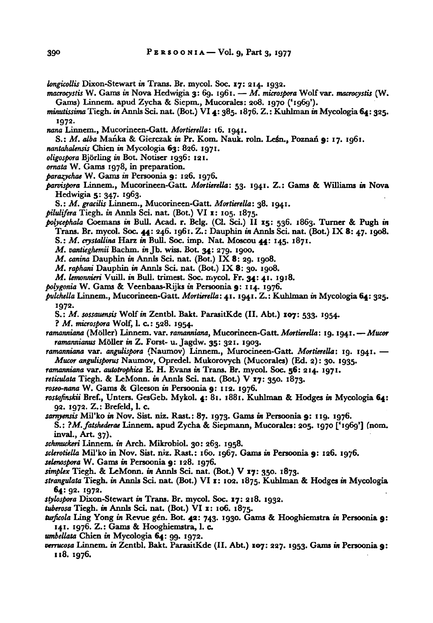longicollis Dixon-Stewart in Trans. Br. mycol. Soc. 17: 214. 1932.

- macrocystis W. Gams in Nova Hedwigia 3: 69. 1961. M. microspora Wolf var. macrocystis (W. Gams) Linnem. apud Zycha & Siepm., Mucorales: 208. <sup>1970</sup> ('1969').
- minutissimaTiegh. in Annls Sci. nat. (Bot.) VI4: 385. 1876. Z.: Kuhlman in Mycologia 64: 325. 1972.
- nana Linnem., Mucorineen-Gatt. Mortierella: 16. 1941.
- S.: M. alba Manka & Gierczak in Pr. Kom. Nauk. roln. Leśn., Poznań 9: 17. 1961.
- nantahalensis Chien in Mycologia 63: 826. 1971.
- oligospora Bjorling in Bot. Notiser 1936: 121.
- ornata W. Gams 1978, in preparation.
- parazychae W. Gams in Persoonia 9: 126. 1976.
- parvispora Linnem., Mucorineen-Gatt. Mortierella: 53- I 94I Z.: Gams & Williams in Nova Hedwigia 5: 347. 1963.
	- S.: M. gracilis Linnem., Mucorineen-Gatt. Mortierella: 38. 1941.
- pilulifera Tiegh. in Annls Sci. nat. (Bot.) VI 1: 105. 1875.
- polycephala Coemans in Bull. Acad. r. Belg. (Cl. Sei.) II 15: 536. 1863. Turner & Pugh in Trans. Br. mycol. Soc. 44: 246. 1961. Z.: Dauphin in Annls Sei. nat. (Bot.) IX 8: 47. 1908.
	- S.: M. crystallina Harz in Bull. Soc. imp. Nat. Moscou 44: 145. 1871.
	- M. vantieghemii Bachm. in Jb. wiss. Bot. 34: 279. 1900.
	- M. canina Dauphin in Annls Sci. nat. (Bot.) IX 8: 29. 1908.
	- M. raphani Dauphin in Annls Sci. nat. (Bot.) IX 8: 30. 1908.
	- M. lemonnieri Vuill. in Bull. trimest. Soc. mycol. Fr. 34: 41. 1918.
- polygonia W. Gams & Veenbaas-Rijks in Persoonia 9: 114. 1976.
- pulchella Linnem., Mucorineen-Gatt.Mortierella:4i. 1941. Z.: Kuhlman in Mycologia 64: 325. 1972.
	- S.: M. sossauensis Wolf in Zentbl. Bakt. ParasitKde (II. Abt.) 107: 533. 1954.
	- ? M. microspora Wolf, 1. c.: 528. 1954.
- ramanniana (Möller) Linnem. var. ramanniana, Mucorineen-Gatt. Mortierella: 19. 1941. Mucor ramannianus Möller in Z. Forst- u. Jagdw. 35: 321. 1903.
- ramanniana var. angulispora (Naumov) Linnem., Murocineen-Gatt. Mortierella: 19. 1941. Mucor angulisporus Naumov, Opredel. Mukorovych (Mucorales) (Ed. 2): 30. 1935.
- ramanniana var. autotrophica E. H. Evans in Trans. Br. mycol. Soc. 56: 214. 1971.
- reticulata Tiegh. & LeMonn. in Annls Sci. nat. (Bot.) V 17: 350. 1873.

roseo-nana W. Gams & Gleeson in Persoonia 9: 112. 1976.

- rostafinskii Bref., Unters. GesGeb. Mykol. 4: 81. 1881. Kuhlman & Hodges in Mycologia 64: 92. 1972. Z.: Brefeld, 1. c.
- samyensis Mil'ko in Nov. Sist. niz. Rast.: 87. 1973. Gams in Persoonia 9: 119. 1976.
- S.: ?M. fatshederae Linnem. apud Zycha & Siepmann, Mucorales: 205. <sup>1970</sup> ['1969'] (nom. inval., Art. 37).
- schmuckeri Linnem. in Arch. Mikrobiol. 30: 263. 1958.
- sclerotiella Mil'ko in Nov. Sist. niz. Rast.: 160. 1967. Gams in Persoonia 9: 126. 1976.
- selenospora W. Gams in Persoonia 9: 128. 1976.
- simplex Tiegh. & LeMonn. in Annls Sci. nat. (Bot.) V 17: 350. 1873.
- strangulata Tiegh. in Annls Sci. nat. (Bot.) VI 1: 102. 1875. Kuhlman & Hodges in Mycologia 64: 92. 1972.
- stylospora Dixon-Stewart in Trans. Br. mycol. Soc. 17: 218. 1932.
- tuberosa Tiegh. in Annls Sci. nat. (Bot.) VI 1: 106. 1875.
- turficola Ling Yong in Revue gén. Bot. 42: 743. 1930. Gams & Hooghiemstra in Persoonia 9: 141. 1976. Z.: Gams & Hooghiemstra, 1. c.
- umbellata Chien in Mycologia 64: 99. 1972.
- verrucosa Linnem. in Zentbl. Bakt. ParasitKde (II. Abt.) 107: 227. 1953. Gams in Persoonia 9: 118. 1976.